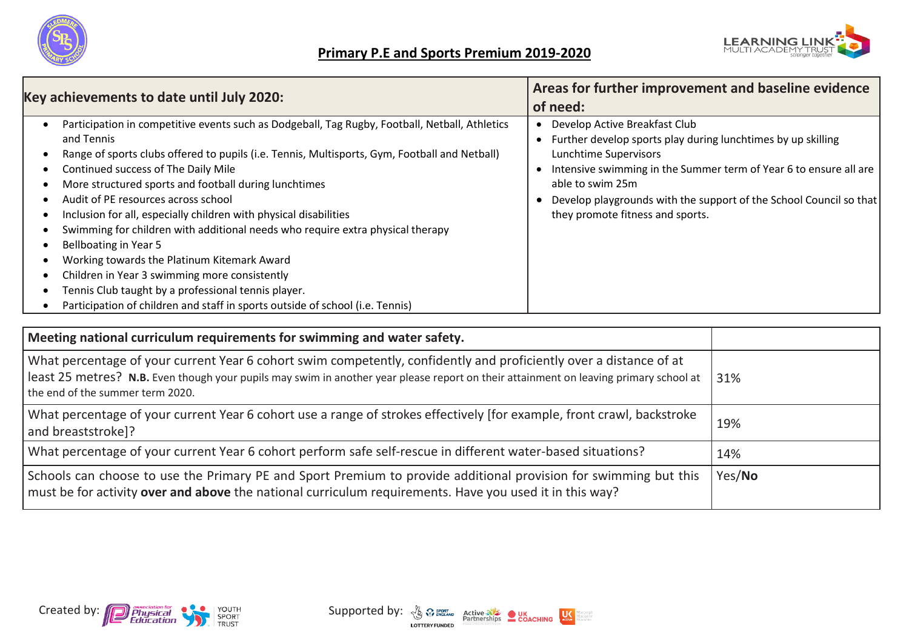



|                                                                                                                                                                                                                                                                                                                                                                                                                                                                                                                                                                                                                                                                                                                                                                              | Areas for further improvement and baseline evidence                                                                                                                                                                                                                                                                                |  |  |
|------------------------------------------------------------------------------------------------------------------------------------------------------------------------------------------------------------------------------------------------------------------------------------------------------------------------------------------------------------------------------------------------------------------------------------------------------------------------------------------------------------------------------------------------------------------------------------------------------------------------------------------------------------------------------------------------------------------------------------------------------------------------------|------------------------------------------------------------------------------------------------------------------------------------------------------------------------------------------------------------------------------------------------------------------------------------------------------------------------------------|--|--|
| Key achievements to date until July 2020:                                                                                                                                                                                                                                                                                                                                                                                                                                                                                                                                                                                                                                                                                                                                    | of need:                                                                                                                                                                                                                                                                                                                           |  |  |
| Participation in competitive events such as Dodgeball, Tag Rugby, Football, Netball, Athletics<br>and Tennis<br>Range of sports clubs offered to pupils (i.e. Tennis, Multisports, Gym, Football and Netball)<br>Continued success of The Daily Mile<br>More structured sports and football during lunchtimes<br>Audit of PE resources across school<br>Inclusion for all, especially children with physical disabilities<br>Swimming for children with additional needs who require extra physical therapy<br>Bellboating in Year 5<br>Working towards the Platinum Kitemark Award<br>Children in Year 3 swimming more consistently<br>Tennis Club taught by a professional tennis player.<br>Participation of children and staff in sports outside of school (i.e. Tennis) | Develop Active Breakfast Club<br>• Further develop sports play during lunchtimes by up skilling<br><b>Lunchtime Supervisors</b><br>Intensive swimming in the Summer term of Year 6 to ensure all are<br>able to swim 25m<br>Develop playgrounds with the support of the School Council so that<br>they promote fitness and sports. |  |  |

| Meeting national curriculum requirements for swimming and water safety.                                                                                                                                                                                                                         |        |
|-------------------------------------------------------------------------------------------------------------------------------------------------------------------------------------------------------------------------------------------------------------------------------------------------|--------|
| What percentage of your current Year 6 cohort swim competently, confidently and proficiently over a distance of at<br>least 25 metres? N.B. Even though your pupils may swim in another year please report on their attainment on leaving primary school at<br>the end of the summer term 2020. | 31%    |
| What percentage of your current Year 6 cohort use a range of strokes effectively [for example, front crawl, backstroke<br>and breaststroke]?                                                                                                                                                    | 19%    |
| What percentage of your current Year 6 cohort perform safe self-rescue in different water-based situations?                                                                                                                                                                                     | 14%    |
| Schools can choose to use the Primary PE and Sport Premium to provide additional provision for swimming but this<br>must be for activity over and above the national curriculum requirements. Have you used it in this way?                                                                     | Yes/No |

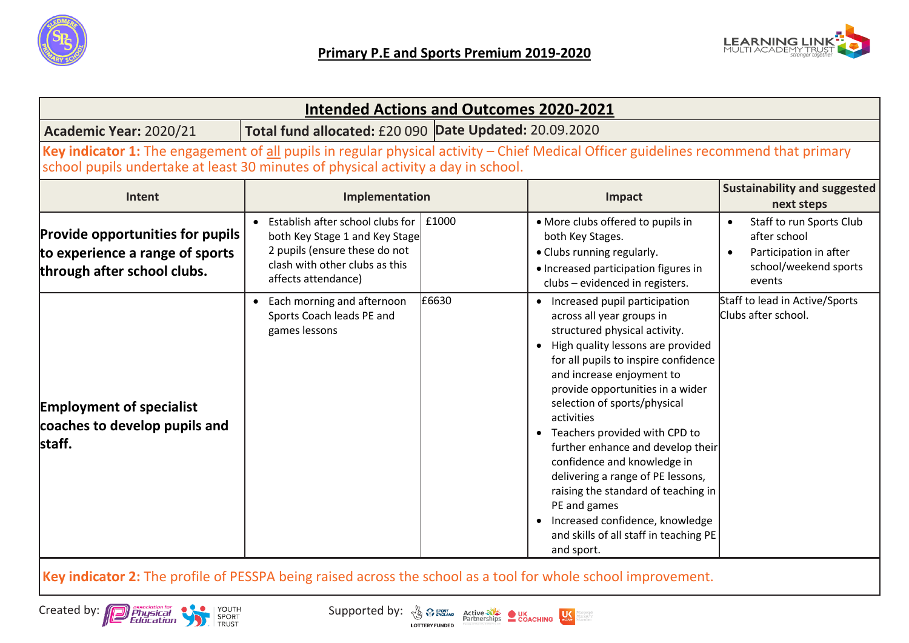



| <b>Intended Actions and Outcomes 2020-2021</b>                                                                                                                                                                            |                                                                                                                                                                            |       |                                                                                                                                                                                                                                                                                                                                                                                                                                                                                                                                                                                             |                                                                                                       |  |
|---------------------------------------------------------------------------------------------------------------------------------------------------------------------------------------------------------------------------|----------------------------------------------------------------------------------------------------------------------------------------------------------------------------|-------|---------------------------------------------------------------------------------------------------------------------------------------------------------------------------------------------------------------------------------------------------------------------------------------------------------------------------------------------------------------------------------------------------------------------------------------------------------------------------------------------------------------------------------------------------------------------------------------------|-------------------------------------------------------------------------------------------------------|--|
| Total fund allocated: £20 090 Date Updated: 20.09.2020<br>Academic Year: 2020/21                                                                                                                                          |                                                                                                                                                                            |       |                                                                                                                                                                                                                                                                                                                                                                                                                                                                                                                                                                                             |                                                                                                       |  |
| Key indicator 1: The engagement of all pupils in regular physical activity - Chief Medical Officer guidelines recommend that primary<br>school pupils undertake at least 30 minutes of physical activity a day in school. |                                                                                                                                                                            |       |                                                                                                                                                                                                                                                                                                                                                                                                                                                                                                                                                                                             |                                                                                                       |  |
| Intent                                                                                                                                                                                                                    | Implementation                                                                                                                                                             |       | Impact                                                                                                                                                                                                                                                                                                                                                                                                                                                                                                                                                                                      | <b>Sustainability and suggested</b><br>next steps                                                     |  |
| <b>Provide opportunities for pupils</b><br>to experience a range of sports<br>through after school clubs.                                                                                                                 | Establish after school clubs for $\vert$ £1000<br>both Key Stage 1 and Key Stage<br>2 pupils (ensure these do not<br>clash with other clubs as this<br>affects attendance) |       | • More clubs offered to pupils in<br>both Key Stages.<br>• Clubs running regularly.<br>• Increased participation figures in<br>clubs - evidenced in registers.                                                                                                                                                                                                                                                                                                                                                                                                                              | Staff to run Sports Club<br>after school<br>Participation in after<br>school/weekend sports<br>events |  |
| <b>Employment of specialist</b><br>coaches to develop pupils and<br>staff.                                                                                                                                                | Each morning and afternoon<br>$\bullet$<br>Sports Coach leads PE and<br>games lessons                                                                                      | £6630 | • Increased pupil participation<br>across all year groups in<br>structured physical activity.<br>• High quality lessons are provided<br>for all pupils to inspire confidence<br>and increase enjoyment to<br>provide opportunities in a wider<br>selection of sports/physical<br>activities<br>• Teachers provided with CPD to<br>further enhance and develop their<br>confidence and knowledge in<br>delivering a range of PE lessons,<br>raising the standard of teaching in<br>PE and games<br>• Increased confidence, knowledge<br>and skills of all staff in teaching PE<br>and sport. | Staff to lead in Active/Sports<br>Clubs after school.                                                 |  |

mepeople<br>meactive<br>meaften

**Key indicator 2:** The profile of PESSPA being raised across the school as a tool for whole school improvement.

Created by: Physical Created by: The Physical Created by:  $\frac{R}{\sqrt{3}}$   $\frac{R}{\sqrt{3}}$   $\frac{R}{\sqrt{3}}$  active  $\frac{R}{\sqrt{3}}$  **COACHING**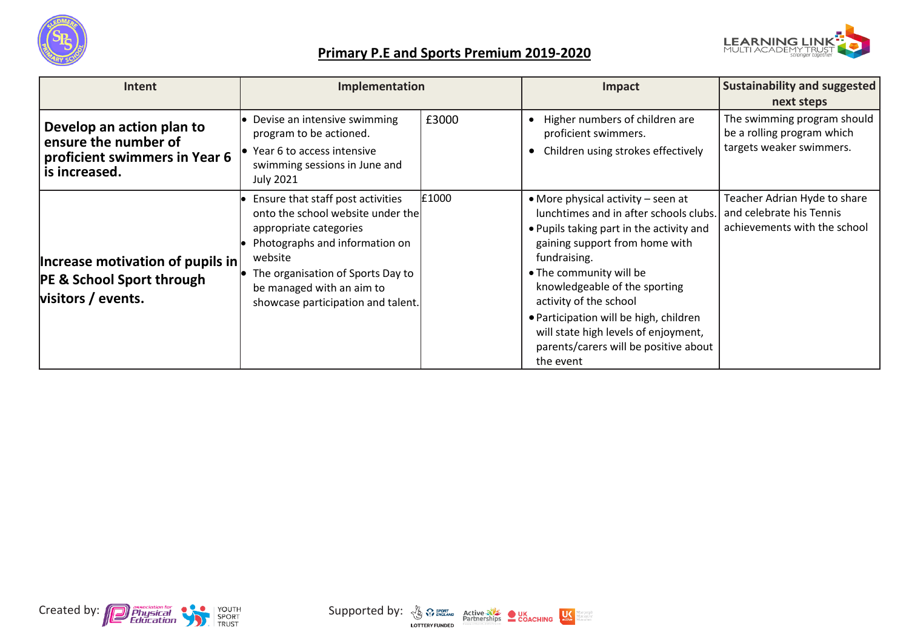



## **Primary P.E and Sports Premium 2019-2020**

| <b>Intent</b>                                                                                       | Implementation                                                                                                                                                                                                                                        |       | Impact                                                                                                                                                                                                                                                                                                                                                                                                   | <b>Sustainability and suggested</b>                                                      |
|-----------------------------------------------------------------------------------------------------|-------------------------------------------------------------------------------------------------------------------------------------------------------------------------------------------------------------------------------------------------------|-------|----------------------------------------------------------------------------------------------------------------------------------------------------------------------------------------------------------------------------------------------------------------------------------------------------------------------------------------------------------------------------------------------------------|------------------------------------------------------------------------------------------|
|                                                                                                     |                                                                                                                                                                                                                                                       |       |                                                                                                                                                                                                                                                                                                                                                                                                          | next steps                                                                               |
| Develop an action plan to<br>ensure the number of<br>proficient swimmers in Year 6<br>is increased. | • Devise an intensive swimming<br>program to be actioned.<br>$\bullet$ Year 6 to access intensive<br>swimming sessions in June and<br><b>July 2021</b>                                                                                                | £3000 | Higher numbers of children are<br>proficient swimmers.<br>• Children using strokes effectively                                                                                                                                                                                                                                                                                                           | The swimming program should<br>be a rolling program which<br>targets weaker swimmers.    |
| Increase motivation of pupils in<br><b>PE &amp; School Sport through</b><br>visitors / events.      | Ensure that staff post activities<br>onto the school website under the<br>appropriate categories<br>Photographs and information on<br>website<br>The organisation of Sports Day to<br>be managed with an aim to<br>showcase participation and talent. | £1000 | • More physical activity – seen at<br>lunchtimes and in after schools clubs.<br>. Pupils taking part in the activity and<br>gaining support from home with<br>fundraising.<br>• The community will be<br>knowledgeable of the sporting<br>activity of the school<br>. Participation will be high, children<br>will state high levels of enjoyment,<br>parents/carers will be positive about<br>the event | Teacher Adrian Hyde to share<br>and celebrate his Tennis<br>achievements with the school |



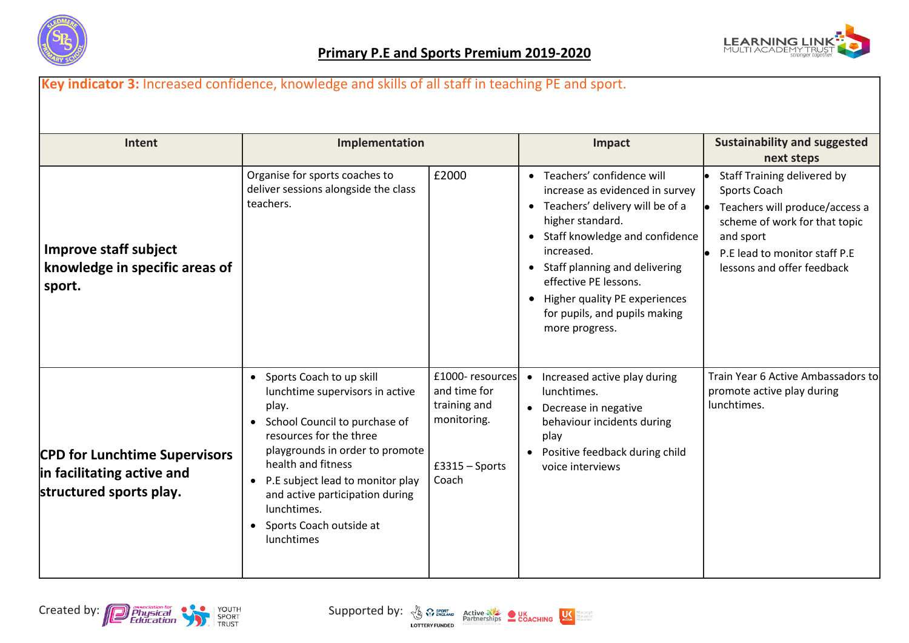



| Intent                                                                                        | Implementation                                                                                                                                                                                                                                                                                                                 |                                                                                             |                                     | Impact                                                                                                                                                                                                                                                                                                                    | <b>Sustainability and suggested</b><br>next steps                                                                                                                                          |
|-----------------------------------------------------------------------------------------------|--------------------------------------------------------------------------------------------------------------------------------------------------------------------------------------------------------------------------------------------------------------------------------------------------------------------------------|---------------------------------------------------------------------------------------------|-------------------------------------|---------------------------------------------------------------------------------------------------------------------------------------------------------------------------------------------------------------------------------------------------------------------------------------------------------------------------|--------------------------------------------------------------------------------------------------------------------------------------------------------------------------------------------|
| <b>Improve staff subject</b><br>knowledge in specific areas of<br>sport.                      | Organise for sports coaches to<br>deliver sessions alongside the class<br>teachers.                                                                                                                                                                                                                                            | £2000                                                                                       | $\bullet$                           | • Teachers' confidence will<br>increase as evidenced in survey<br>• Teachers' delivery will be of a<br>higher standard.<br>• Staff knowledge and confidence<br>increased.<br>• Staff planning and delivering<br>effective PE lessons.<br>Higher quality PE experiences<br>for pupils, and pupils making<br>more progress. | Staff Training delivered by<br>Sports Coach<br>Teachers will produce/access a<br>scheme of work for that topic<br>and sport<br>P.E lead to monitor staff P.E<br>lessons and offer feedback |
| <b>CPD for Lunchtime Supervisors</b><br>in facilitating active and<br>structured sports play. | • Sports Coach to up skill<br>lunchtime supervisors in active<br>play.<br>• School Council to purchase of<br>resources for the three<br>playgrounds in order to promote<br>health and fitness<br>P.E subject lead to monitor play<br>and active participation during<br>lunchtimes.<br>• Sports Coach outside at<br>lunchtimes | £1000-resources<br>and time for<br>training and<br>monitoring.<br>$£3315 - Sports$<br>Coach | $\bullet$<br>$\bullet$<br>$\bullet$ | Increased active play during<br>lunchtimes.<br>Decrease in negative<br>behaviour incidents during<br>play<br>Positive feedback during child<br>voice interviews                                                                                                                                                           | Train Year 6 Active Ambassadors to<br>promote active play during<br>lunchtimes.                                                                                                            |